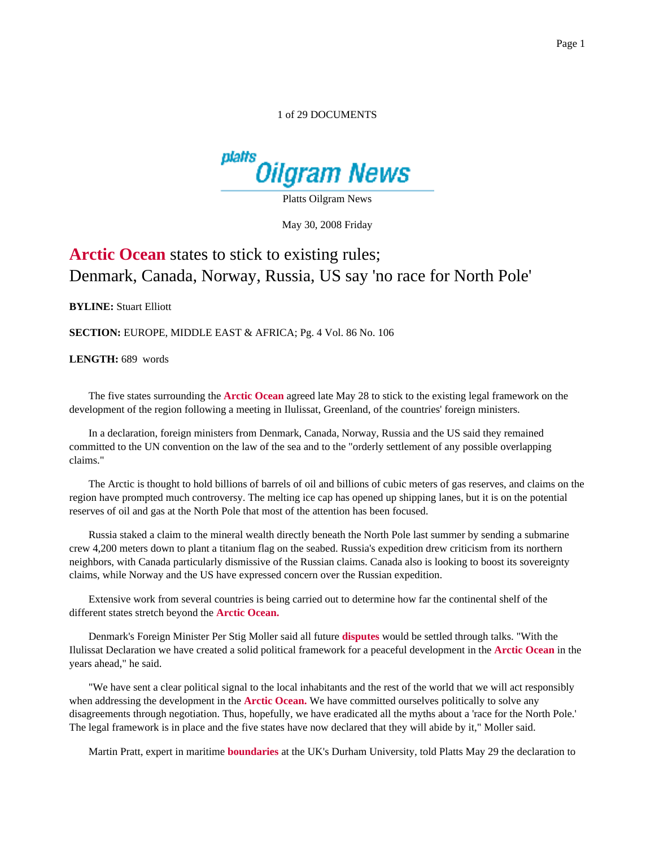## 1 of 29 DOCUMENTS



Platts Oilgram News

May 30, 2008 Friday

## **Arctic Ocean** states to stick to existing rules; Denmark, Canada, Norway, Russia, US say 'no race for North Pole'

**BYLINE:** Stuart Elliott

**SECTION:** EUROPE, MIDDLE EAST & AFRICA; Pg. 4 Vol. 86 No. 106

**LENGTH:** 689 words

The five states surrounding the **Arctic Ocean** agreed late May 28 to stick to the existing legal framework on the development of the region following a meeting in Ilulissat, Greenland, of the countries' foreign ministers.

In a declaration, foreign ministers from Denmark, Canada, Norway, Russia and the US said they remained committed to the UN convention on the law of the sea and to the "orderly settlement of any possible overlapping claims."

The Arctic is thought to hold billions of barrels of oil and billions of cubic meters of gas reserves, and claims on the region have prompted much controversy. The melting ice cap has opened up shipping lanes, but it is on the potential reserves of oil and gas at the North Pole that most of the attention has been focused.

Russia staked a claim to the mineral wealth directly beneath the North Pole last summer by sending a submarine crew 4,200 meters down to plant a titanium flag on the seabed. Russia's expedition drew criticism from its northern neighbors, with Canada particularly dismissive of the Russian claims. Canada also is looking to boost its sovereignty claims, while Norway and the US have expressed concern over the Russian expedition.

Extensive work from several countries is being carried out to determine how far the continental shelf of the different states stretch beyond the **Arctic Ocean.**

Denmark's Foreign Minister Per Stig Moller said all future **disputes** would be settled through talks. "With the Ilulissat Declaration we have created a solid political framework for a peaceful development in the **Arctic Ocean** in the years ahead," he said.

"We have sent a clear political signal to the local inhabitants and the rest of the world that we will act responsibly when addressing the development in the **Arctic Ocean.** We have committed ourselves politically to solve any disagreements through negotiation. Thus, hopefully, we have eradicated all the myths about a 'race for the North Pole.' The legal framework is in place and the five states have now declared that they will abide by it," Moller said.

Martin Pratt, expert in maritime **boundaries** at the UK's Durham University, told Platts May 29 the declaration to